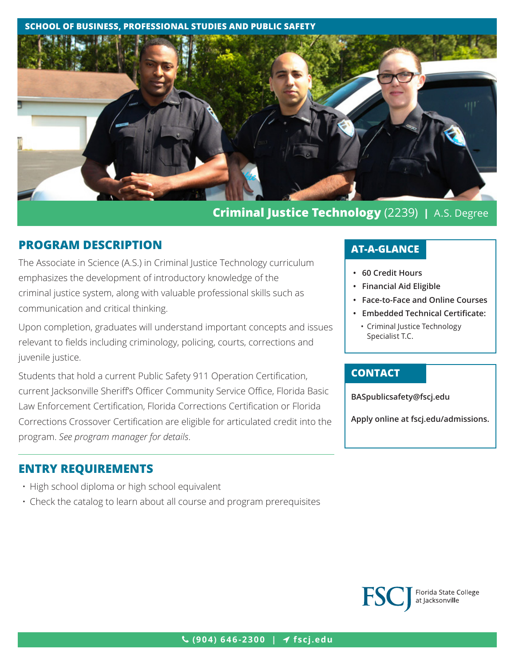#### **SCHOOL OF BUSINESS, PROFESSIONAL STUDIES AND PUBLIC SAFETY**



# **Criminal Justice Technology** (2239) **|** A.S. Degree

## **PROGRAM DESCRIPTION**

The Associate in Science (A.S.) in Criminal Justice Technology curriculum emphasizes the development of introductory knowledge of the criminal justice system, along with valuable professional skills such as communication and critical thinking.

Upon completion, graduates will understand important concepts and issues relevant to fields including criminology, policing, courts, corrections and juvenile justice.

Students that hold a current Public Safety 911 Operation Certification, current Jacksonville Sheriff's Officer Community Service Office, Florida Basic Law Enforcement Certification, Florida Corrections Certification or Florida Corrections Crossover Certification are eligible for articulated credit into the program. *See program manager for details*.

## **ENTRY REQUIREMENTS**

- High school diploma or high school equivalent
- Check the catalog to learn about all course and program prerequisites

## **AT-A-GLANCE**

- **• 60 Credit Hours**
- **• Financial Aid Eligible**
- **• Face-to-Face and Online Courses**
- **• Embedded Technical Certificate:**
	- Criminal Justice Technology Specialist T.C.

### **CONTACT**

**BASpublicsafet[y@fscj.edu](mailto:BASpublicsafety%40fscj.edu?subject=)**

**Apply online at fscj.edu/admissions.**